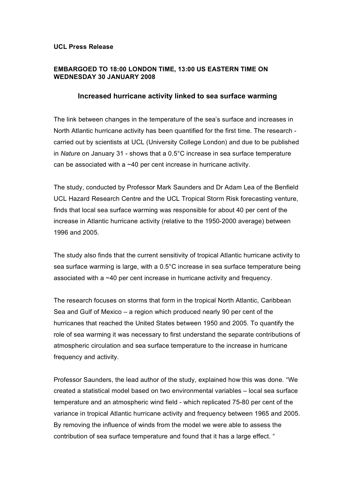## **UCL Press Release**

# **EMBARGOED TO 18:00 LONDON TIME, 13:00 US EASTERN TIME ON WEDNESDAY 30 JANUARY 2008**

## **Increased hurricane activity linked to sea surface warming**

The link between changes in the temperature of the sea's surface and increases in North Atlantic hurricane activity has been quantified for the first time. The research carried out by scientists at UCL (University College London) and due to be published in *Nature* on January 31 - shows that a 0.5°C increase in sea surface temperature can be associated with a ~40 per cent increase in hurricane activity.

The study, conducted by Professor Mark Saunders and Dr Adam Lea of the Benfield UCL Hazard Research Centre and the UCL Tropical Storm Risk forecasting venture, finds that local sea surface warming was responsible for about 40 per cent of the increase in Atlantic hurricane activity (relative to the 1950-2000 average) between 1996 and 2005.

The study also finds that the current sensitivity of tropical Atlantic hurricane activity to sea surface warming is large, with a 0.5°C increase in sea surface temperature being associated with a ~40 per cent increase in hurricane activity and frequency.

The research focuses on storms that form in the tropical North Atlantic, Caribbean Sea and Gulf of Mexico – a region which produced nearly 90 per cent of the hurricanes that reached the United States between 1950 and 2005. To quantify the role of sea warming it was necessary to first understand the separate contributions of atmospheric circulation and sea surface temperature to the increase in hurricane frequency and activity.

Professor Saunders, the lead author of the study, explained how this was done. "We created a statistical model based on two environmental variables – local sea surface temperature and an atmospheric wind field - which replicated 75-80 per cent of the variance in tropical Atlantic hurricane activity and frequency between 1965 and 2005. By removing the influence of winds from the model we were able to assess the contribution of sea surface temperature and found that it has a large effect. "